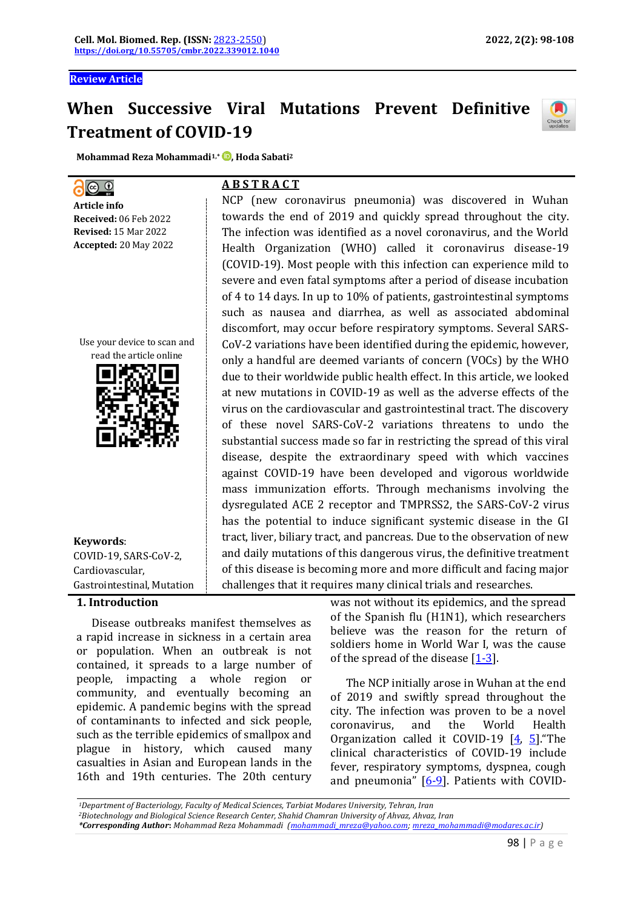**Review Article**

# **When Successive Viral Mutations Prevent Definitive Treatment of COVID-19**

NCP (new coronavirus pneumonia) was discovered in Wuhan towards the end of 2019 and quickly spread throughout the city. The infection was identified as a novel coronavirus, and the World Health Organization (WHO) called it coronavirus disease-19 (COVID-19). Most people with this infection can experience mild to severe and even fatal symptoms after a period of disease incubation of 4 to 14 days. In up to 10% of patients, gastrointestinal symptoms such as nausea and diarrhea, as well as associated abdominal discomfort, may occur before respiratory symptoms. Several SARS-CoV-2 variations have been identified during the epidemic, however, only a handful are deemed variants of concern (VOCs) by the WHO due to their worldwide public health effect. In this article, we looked at new mutations in COVID-19 as well as the adverse effects of the virus on the cardiovascular and gastrointestinal tract. The discovery

**A B S T R A C T**

**Mohammad Reza Mohammadi1,\* [,](https://orcid.org/0000-0002-9262-0332) Hoda Sabati<sup>2</sup>**

# $O<sub>o</sub>$

**Article info Received:** 06 Feb 2022 **Revised:** 15 Mar 2022 **Accepted:** 20 May 2022

Use your device to scan and



**Keywords**: COVID-19, SARS-CoV-2, Cardiovascular, Gastrointestinal, Mutation

#### **1. Introduction**

Disease outbreaks manifest themselves as a rapid increase in sickness in a certain area or population. When an outbreak is not contained, it spreads to a large number of people, impacting a whole region or community, and eventually becoming an epidemic. A pandemic begins with the spread of contaminants to infected and sick people, such as the terrible epidemics of smallpox and plague in history, which caused many casualties in Asian and European lands in the 16th and 19th centuries. The 20th century

of these novel SARS-CoV-2 variations threatens to undo the substantial success made so far in restricting the spread of this viral disease, despite the extraordinary speed with which vaccines against COVID-19 have been developed and vigorous worldwide mass immunization efforts. Through mechanisms involving the dysregulated ACE 2 receptor and TMPRSS2, the SARS-CoV-2 virus has the potential to induce significant systemic disease in the GI tract, liver, biliary tract, and pancreas. Due to the observation of new and daily mutations of this dangerous virus, the definitive treatment of this disease is becoming more and more difficult and facing major challenges that it requires many clinical trials and researches. was not without its epidemics, and the spread of the Spanish flu (H1N1), which researchers believe was the reason for the return of

> The NCP initially arose in Wuhan at the end of 2019 and swiftly spread throughout the city. The infection was proven to be a novel coronavirus, and the World Health Organization called it COVID-19 [4, 5]."The clinical characteristics of COVID-19 include fever, respiratory symptoms, dyspnea, cough and pneumonia"  $[6-9]$ . Patients with COVID-

> soldiers home in World War I, was the cause

of the spread of the disease  $[1-3]$ .

*<sup>1</sup>Department of Bacteriology, Faculty of Medical Sciences, Tarbiat Modares University, Tehran, Iran*

*<sup>2</sup>Biotechnology and Biological Science Research Center, Shahid Chamran University of Ahvaz, Ahvaz, Iran* 

*<sup>\*</sup>Corresponding Author***:** *Mohammad Reza Mohammadi [\(mohammadi\\_mreza@yahoo.com;](mailto:mohammadi_mreza@yahoo.com) [mreza\\_mohammadi@modares.ac.ir\)](mailto:mreza_mohammadi@modares.ac.ir)*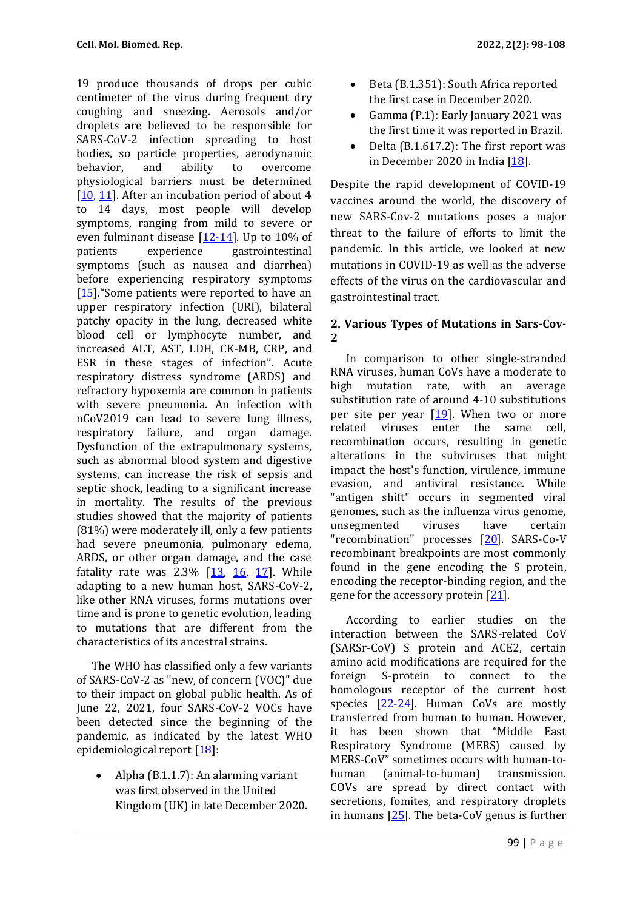19 produce thousands of drops per cubic centimeter of the virus during frequent dry coughing and sneezing. Aerosols and/or droplets are believed to be responsible for SARS-CoV-2 infection spreading to host bodies, so particle properties, aerodynamic behavior, and ability to overcome physiological barriers must be determined [10, 11]. After an incubation period of about 4 to 14 days, most people will develop symptoms, ranging from mild to severe or even fulminant disease [12-14]. Up to 10% of patients experience gastrointestinal symptoms (such as nausea and diarrhea) before experiencing respiratory symptoms [15]. "Some patients were reported to have an upper respiratory infection (URI), bilateral patchy opacity in the lung, decreased white blood cell or lymphocyte number, and increased ALT, AST, LDH, CK-MB, CRP, and ESR in these stages of infection". Acute respiratory distress syndrome (ARDS) and refractory hypoxemia are common in patients with severe pneumonia. An infection with nCoV2019 can lead to severe lung illness, respiratory failure, and organ damage. Dysfunction of the extrapulmonary systems, such as abnormal blood system and digestive systems, can increase the risk of sepsis and septic shock, leading to a significant increase in mortality. The results of the previous studies showed that the majority of patients (81%) were moderately ill, only a few patients had severe pneumonia, pulmonary edema, ARDS, or other organ damage, and the case fatality rate was  $2.3\%$   $[13, 16, 17]$ . While adapting to a new human host, SARS-CoV-2, like other RNA viruses, forms mutations over time and is prone to genetic evolution, leading to mutations that are different from the characteristics of its ancestral strains.

The WHO has classified only a few variants of SARS-CoV-2 as "new, of concern (VOC)" due to their impact on global public health. As of June 22, 2021, four SARS-CoV-2 VOCs have been detected since the beginning of the pandemic, as indicated by the latest WHO epidemiological report  $[18]$ :

• Alpha (B.1.1.7): An alarming variant was first observed in the United Kingdom (UK) in late December 2020.

- Beta (B.1.351): South Africa reported the first case in December 2020.
- Gamma (P.1): Early January 2021 was the first time it was reported in Brazil.
- Delta (B.1.617.2): The first report was in December 2020 in India [18].

Despite the rapid development of COVID-19 vaccines around the world, the discovery of new SARS-Cov-2 mutations poses a major threat to the failure of efforts to limit the pandemic. In this article, we looked at new mutations in COVID-19 as well as the adverse effects of the virus on the cardiovascular and gastrointestinal tract.

# **2. Various Types of Mutations in Sars-Cov-2**

In comparison to other single-stranded RNA viruses, human CoVs have a moderate to high mutation rate, with an average substitution rate of around 4-10 substitutions per site per year  $[19]$ . When two or more related viruses enter the same cell, recombination occurs, resulting in genetic alterations in the subviruses that might impact the host's function, virulence, immune evasion, and antiviral resistance. While "antigen shift" occurs in segmented viral genomes, such as the influenza virus genome, unsegmented viruses have certain "recombination" processes [20]. SARS-Co-V recombinant breakpoints are most commonly found in the gene encoding the S protein, encoding the receptor-binding region, and the gene for the accessory protein [21].

According to earlier studies on the interaction between the SARS-related CoV (SARSr-CoV) S protein and ACE2, certain amino acid modifications are required for the foreign S-protein to connect to the homologous receptor of the current host species  $[22-24]$ . Human CoVs are mostly transferred from human to human. However, it has been shown that "Middle East Respiratory Syndrome (MERS) caused by MERS-CoV" sometimes occurs with human-tohuman (animal-to-human) transmission. COVs are spread by direct contact with secretions, fomites, and respiratory droplets in humans [25]. The beta-CoV genus is further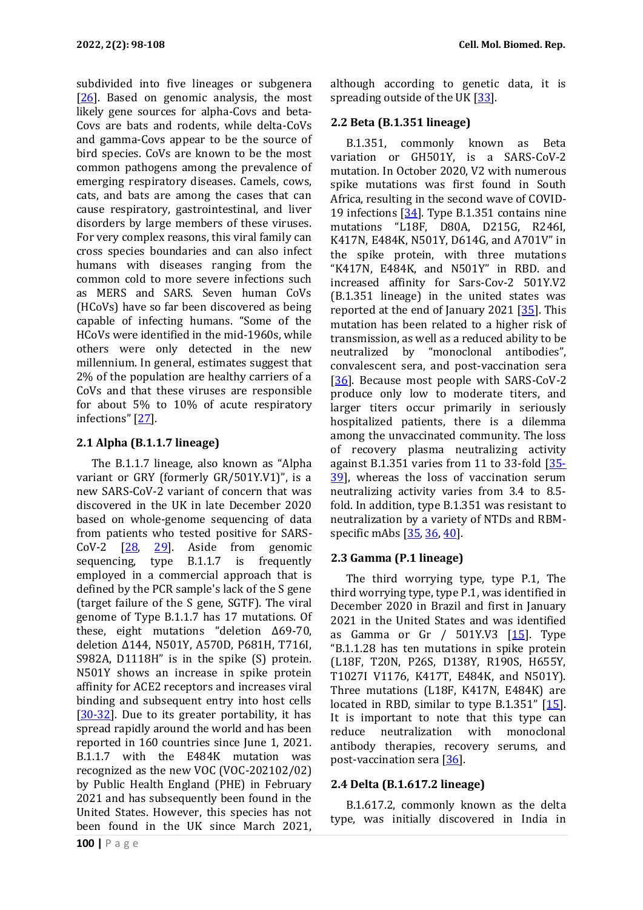subdivided into five lineages or subgenera  $[26]$ . Based on genomic analysis, the most likely gene sources for alpha-Covs and beta-Covs are bats and rodents, while delta-CoVs and gamma-Covs appear to be the source of bird species. CoVs are known to be the most common pathogens among the prevalence of emerging respiratory diseases. Camels, cows, cats, and bats are among the cases that can cause respiratory, gastrointestinal, and liver disorders by large members of these viruses. For very complex reasons, this viral family can cross species boundaries and can also infect humans with diseases ranging from the common cold to more severe infections such as MERS and SARS. Seven human CoVs (HCoVs) have so far been discovered as being capable of infecting humans. "Some of the HCoVs were identified in the mid-1960s, while others were only detected in the new millennium. In general, estimates suggest that 2% of the population are healthy carriers of a CoVs and that these viruses are responsible for about 5% to 10% of acute respiratory infections" [27].

# **2.1 Alpha (B.1.1.7 lineage)**

The B.1.1.7 lineage, also known as "Alpha variant or GRY (formerly GR/501Y.V1)", is a new SARS-CoV-2 variant of concern that was discovered in the UK in late December 2020 based on whole-genome sequencing of data from patients who tested positive for SARS-CoV-2 [28, 29]. Aside from genomic sequencing, type B.1.1.7 is frequently employed in a commercial approach that is defined by the PCR sample's lack of the S gene (target failure of the S gene, SGTF). The viral genome of Type B.1.1.7 has 17 mutations. Of these, eight mutations "deletion Δ69-70, deletion Δ144, N501Y, A570D, P681H, T716I, S982A, D1118H" is in the spike (S) protein. N501Y shows an increase in spike protein affinity for ACE2 receptors and increases viral binding and subsequent entry into host cells  $[30-32]$ . Due to its greater portability, it has spread rapidly around the world and has been reported in 160 countries since June 1, 2021. B.1.1.7 with the E484K mutation was recognized as the new VOC (VOC-202102/02) by Public Health England (PHE) in February 2021 and has subsequently been found in the United States. However, this species has not been found in the UK since March 2021,

although according to genetic data, it is spreading outside of the UK [33].

## **2.2 Beta (B.1.351 lineage)**

B.1.351, commonly known as Beta variation or GH501Y, is a SARS-CoV-2 mutation. In October 2020, V2 with numerous spike mutations was first found in South Africa, resulting in the second wave of COVID-19 infections [34]. Type B.1.351 contains nine mutations "L18F, D80A, D215G, R246I, K417N, E484K, N501Y, D614G, and A701V" in the spike protein, with three mutations "K417N, E484K, and N501Y" in RBD. and increased affinity for Sars-Cov-2 501Y.V2 (B.1.351 lineage) in the united states was reported at the end of January 2021  $[35]$ . This mutation has been related to a higher risk of transmission, as well as a reduced ability to be neutralized by "monoclonal antibodies", convalescent sera, and post-vaccination sera [36]. Because most people with SARS-CoV-2 produce only low to moderate titers, and larger titers occur primarily in seriously hospitalized patients, there is a dilemma among the unvaccinated community. The loss of recovery plasma neutralizing activity against B.1.351 varies from 11 to 33-fold [35- 39], whereas the loss of vaccination serum neutralizing activity varies from 3.4 to 8.5 fold. In addition, type B.1.351 was resistant to neutralization by a variety of NTDs and RBMspecific mAbs [35, 36, 40].

# **2.3 Gamma (P.1 lineage)**

The third worrying type, type P.1, The third worrying type, type P.1, was identified in December 2020 in Brazil and first in January 2021 in the United States and was identified as Gamma or Gr  $/$  501Y.V3  $[15]$ . Type "B.1.1.28 has ten mutations in spike protein (L18F, T20N, P26S, D138Y, R190S, H655Y, T1027I V1176, K417T, E484K, and N501Y). Three mutations (L18F, K417N, E484K) are located in RBD, similar to type B.1.351"  $[15]$ . It is important to note that this type can reduce neutralization with monoclonal antibody therapies, recovery serums, and post-vaccination sera [36].

## **2.4 Delta (B.1.617.2 lineage)**

B.1.617.2, commonly known as the delta type, was initially discovered in India in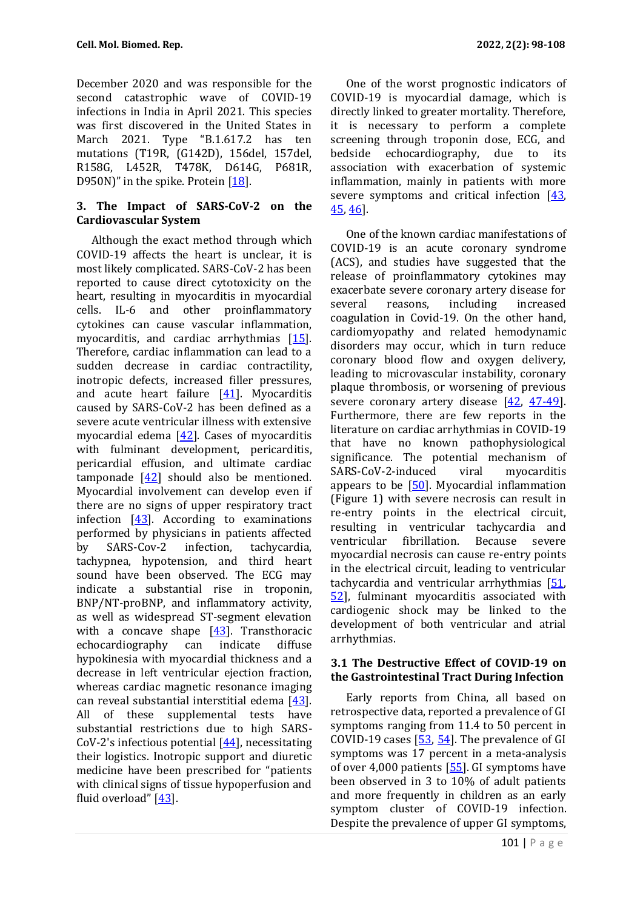December 2020 and was responsible for the second catastrophic wave of COVID-19 infections in India in April 2021. This species was first discovered in the United States in March 2021. Type "B.1.617.2 has ten mutations (T19R, (G142D), 156del, 157del, R158G, L452R, T478K, D614G, P681R, D950N)" in the spike. Protein  $[18]$ .

## **3. The Impact of SARS-CoV-2 on the Cardiovascular System**

Although the exact method through which COVID-19 affects the heart is unclear, it is most likely complicated. SARS-CoV-2 has been reported to cause direct cytotoxicity on the heart, resulting in myocarditis in myocardial cells. IL-6 and other proinflammatory cytokines can cause vascular inflammation, myocarditis, and cardiac arrhythmias [15]. Therefore, cardiac inflammation can lead to a sudden decrease in cardiac contractility, inotropic defects, increased filler pressures, and acute heart failure [41]. Myocarditis caused by SARS-CoV-2 has been defined as a severe acute ventricular illness with extensive myocardial edema [42]. Cases of myocarditis with fulminant development, pericarditis, pericardial effusion, and ultimate cardiac tamponade [42] should also be mentioned. Myocardial involvement can develop even if there are no signs of upper respiratory tract infection  $[43]$ . According to examinations performed by physicians in patients affected by SARS-Cov-2 infection, tachycardia, tachypnea, hypotension, and third heart sound have been observed. The ECG may indicate a substantial rise in troponin, BNP/NT-proBNP, and inflammatory activity, as well as widespread ST-segment elevation with a concave shape  $[43]$ . Transthoracic echocardiography can indicate diffuse hypokinesia with myocardial thickness and a decrease in left ventricular ejection fraction, whereas cardiac magnetic resonance imaging can reveal substantial interstitial edema [43]. All of these supplemental tests have substantial restrictions due to high SARS-CoV-2's infectious potential [44], necessitating their logistics. Inotropic support and diuretic medicine have been prescribed for "patients with clinical signs of tissue hypoperfusion and fluid overload" [43].

One of the worst prognostic indicators of COVID-19 is myocardial damage, which is directly linked to greater mortality. Therefore, it is necessary to perform a complete screening through troponin dose, ECG, and bedside echocardiography, due to its association with exacerbation of systemic inflammation, mainly in patients with more severe symptoms and critical infection [43, 45, 46].

One of the known cardiac manifestations of COVID-19 is an acute coronary syndrome (ACS), and studies have suggested that the release of proinflammatory cytokines may exacerbate severe coronary artery disease for several reasons, including increased coagulation in Covid-19. On the other hand, cardiomyopathy and related hemodynamic disorders may occur, which in turn reduce coronary blood flow and oxygen delivery, leading to microvascular instability, coronary plaque thrombosis, or worsening of previous severe coronary artery disease [42, 47-49]. Furthermore, there are few reports in the literature on cardiac arrhythmias in COVID-19 that have no known pathophysiological significance. The potential mechanism of SARS-CoV-2-induced viral myocarditis appears to be  $[50]$ . Myocardial inflammation (Figure 1) with severe necrosis can result in re-entry points in the electrical circuit, resulting in ventricular tachycardia and ventricular fibrillation. Because severe myocardial necrosis can cause re-entry points in the electrical circuit, leading to ventricular tachycardia and ventricular arrhythmias [51, 52], fulminant myocarditis associated with cardiogenic shock may be linked to the development of both ventricular and atrial arrhythmias.

#### **3.1 The Destructive Effect of COVID-19 on the Gastrointestinal Tract During Infection**

Early reports from China, all based on retrospective data, reported a prevalence of GI symptoms ranging from 11.4 to 50 percent in COVID-19 cases [53, 54]. The prevalence of GI symptoms was 17 percent in a meta-analysis of over 4,000 patients [55]. GI symptoms have been observed in 3 to 10% of adult patients and more frequently in children as an early symptom cluster of COVID-19 infection. Despite the prevalence of upper GI symptoms,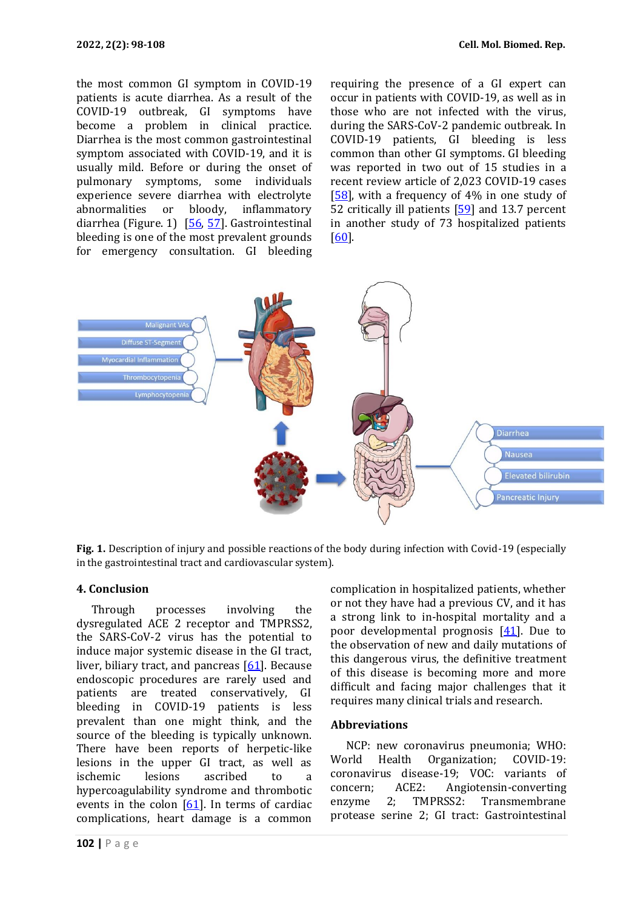the most common GI symptom in COVID-19 patients is acute diarrhea. As a result of the COVID-19 outbreak, GI symptoms have become a problem in clinical practice. Diarrhea is the most common gastrointestinal symptom associated with COVID-19, and it is usually mild. Before or during the onset of pulmonary symptoms, some individuals experience severe diarrhea with electrolyte abnormalities or bloody, inflammatory diarrhea (Figure. 1) [56, 57]. Gastrointestinal bleeding is one of the most prevalent grounds for emergency consultation. GI bleeding requiring the presence of a GI expert can occur in patients with COVID-19, as well as in those who are not infected with the virus, during the SARS-CoV-2 pandemic outbreak. In COVID-19 patients, GI bleeding is less common than other GI symptoms. GI bleeding was reported in two out of 15 studies in a recent review article of 2,023 COVID-19 cases [58], with a frequency of 4% in one study of 52 critically ill patients [59] and 13.7 percent in another study of 73 hospitalized patients [60].



**Fig. 1.** Description of injury and possible reactions of the body during infection with Covid-19 (especially in the gastrointestinal tract and cardiovascular system).

#### **4. Conclusion**

Through processes involving the dysregulated ACE 2 receptor and TMPRSS2, the SARS-CoV-2 virus has the potential to induce major systemic disease in the GI tract, liver, biliary tract, and pancreas  $[61]$ . Because endoscopic procedures are rarely used and patients are treated conservatively, GI bleeding in COVID-19 patients is less prevalent than one might think, and the source of the bleeding is typically unknown. There have been reports of herpetic-like lesions in the upper GI tract, as well as ischemic lesions ascribed to a hypercoagulability syndrome and thrombotic events in the colon [61]. In terms of cardiac complications, heart damage is a common complication in hospitalized patients, whether or not they have had a previous CV, and it has a strong link to in-hospital mortality and a poor developmental prognosis [41]. Due to the observation of new and daily mutations of this dangerous virus, the definitive treatment of this disease is becoming more and more difficult and facing major challenges that it requires many clinical trials and research.

#### **Abbreviations**

NCP: new coronavirus pneumonia; WHO: World Health Organization; COVID-19: coronavirus disease-19; VOC: variants of concern; ACE2: Angiotensin-converting enzyme 2; TMPRSS2: Transmembrane protease serine 2; GI tract: Gastrointestinal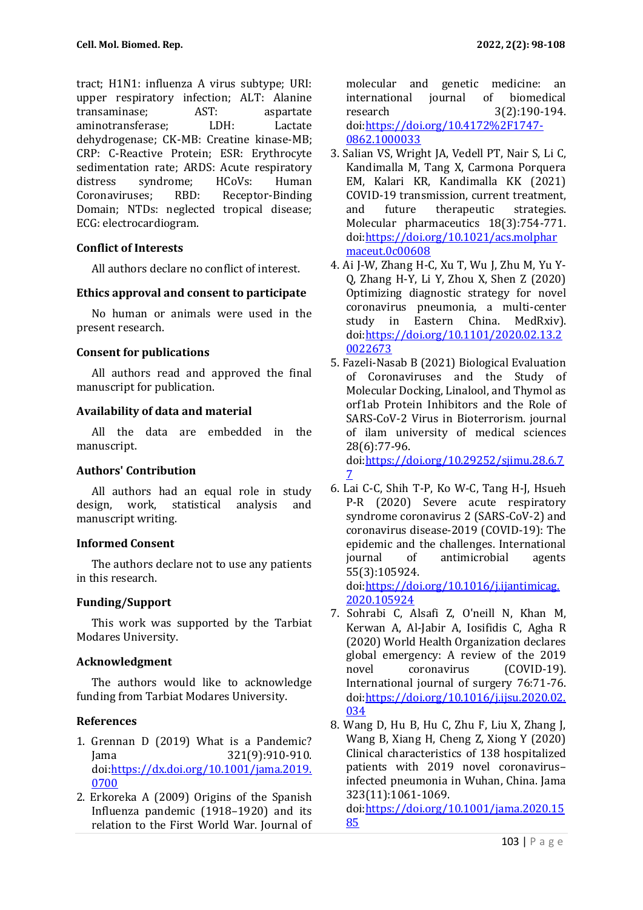tract; H1N1: influenza A virus subtype; URI: upper respiratory infection; ALT: Alanine transaminase; AST: aspartate aminotransferase; LDH: Lactate dehydrogenase; CK-MB: Creatine kinase-MB; CRP: C-Reactive Protein; ESR: Erythrocyte sedimentation rate; ARDS: Acute respiratory distress syndrome; HCoVs: Human Coronaviruses; RBD: Receptor-Binding Domain; NTDs: neglected tropical disease; ECG: electrocardiogram.

## **Conflict of Interests**

All authors declare no conflict of interest.

#### **Ethics approval and consent to participate**

No human or animals were used in the present research.

## **Consent for publications**

All authors read and approved the final manuscript for publication.

#### **Availability of data and material**

All the data are embedded in the manuscript.

## **Authors' Contribution**

All authors had an equal role in study design, work, statistical analysis and manuscript writing.

## **Informed Consent**

The authors declare not to use any patients in this research.

## **Funding/Support**

This work was supported by the Tarbiat Modares University.

## **Acknowledgment**

The authors would like to acknowledge funding from Tarbiat Modares University.

## **References**

- 1. Grennan D (2019) What is a Pandemic? Jama 321(9):910-910. doi[:https://dx.doi.org/10.1001/jama.2019.](https://dx.doi.org/10.1001/jama.2019.0700) [0700](https://dx.doi.org/10.1001/jama.2019.0700)
- 2. Erkoreka A (2009) Origins of the Spanish Influenza pandemic (1918–1920) and its relation to the First World War. Journal of

molecular and genetic medicine: an international journal of biomedical research 3(2):190-194. doi[:https://doi.org/10.4172%2F1747-](https://doi.org/10.4172%2F1747-0862.1000033) [0862.1000033](https://doi.org/10.4172%2F1747-0862.1000033)

- 3. Salian VS, Wright JA, Vedell PT, Nair S, Li C, Kandimalla M, Tang X, Carmona Porquera EM, Kalari KR, Kandimalla KK (2021) COVID-19 transmission, current treatment, and future therapeutic strategies. Molecular pharmaceutics 18(3):754-771. doi[:https://doi.org/10.1021/acs.molphar](https://doi.org/10.1021/acs.molpharmaceut.0c00608) [maceut.0c00608](https://doi.org/10.1021/acs.molpharmaceut.0c00608)
- 4. Ai J-W, Zhang H-C, Xu T, Wu J, Zhu M, Yu Y-Q, Zhang H-Y, Li Y, Zhou X, Shen Z (2020) Optimizing diagnostic strategy for novel coronavirus pneumonia, a multi-center study in Eastern China. MedRxiv). doi[:https://doi.org/10.1101/2020.02.13.2](https://doi.org/10.1101/2020.02.13.20022673) [0022673](https://doi.org/10.1101/2020.02.13.20022673)
- 5. Fazeli-Nasab B (2021) Biological Evaluation of Coronaviruses and the Study of Molecular Docking, Linalool, and Thymol as orf1ab Protein Inhibitors and the Role of SARS-CoV-2 Virus in Bioterrorism. journal of ilam university of medical sciences 28(6):77-96. doi[:https://doi.org/10.29252/sjimu.28.6.7](https://doi.org/10.29252/sjimu.28.6.77) [7](https://doi.org/10.29252/sjimu.28.6.77)
- 6. Lai C-C, Shih T-P, Ko W-C, Tang H-J, Hsueh P-R (2020) Severe acute respiratory syndrome coronavirus 2 (SARS-CoV-2) and coronavirus disease-2019 (COVID-19): The epidemic and the challenges. International journal of antimicrobial agents 55(3):105924.

doi[:https://doi.org/10.1016/j.ijantimicag.](https://doi.org/10.1016/j.ijantimicag.2020.105924) [2020.105924](https://doi.org/10.1016/j.ijantimicag.2020.105924)

- 7. Sohrabi C, Alsafi Z, O'neill N, Khan M, Kerwan A, Al-Jabir A, Iosifidis C, Agha R (2020) World Health Organization declares global emergency: A review of the 2019 novel coronavirus (COVID-19). International journal of surgery 76:71-76. doi[:https://doi.org/10.1016/j.ijsu.2020.02.](https://doi.org/10.1016/j.ijsu.2020.02.034) [034](https://doi.org/10.1016/j.ijsu.2020.02.034)
- 8. Wang D, Hu B, Hu C, Zhu F, Liu X, Zhang J, Wang B, Xiang H, Cheng Z, Xiong Y (2020) Clinical characteristics of 138 hospitalized patients with 2019 novel coronavirus– infected pneumonia in Wuhan, China. Jama 323(11):1061-1069. doi[:https://doi.org/10.1001/jama.2020.15](https://doi.org/10.1001/jama.2020.1585)

[85](https://doi.org/10.1001/jama.2020.1585)

103 | P a g e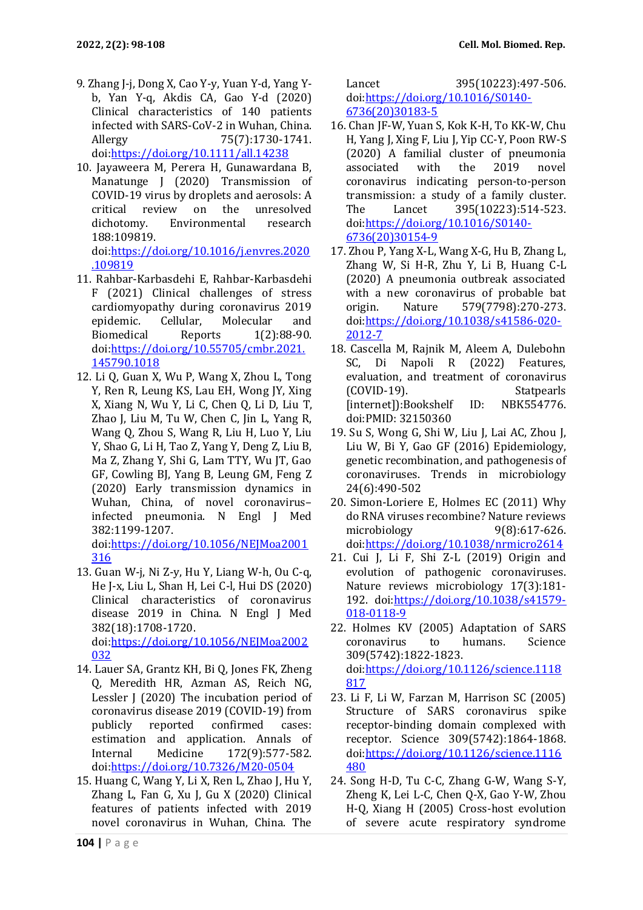- 9. Zhang J-j, Dong X, Cao Y-y, Yuan Y-d, Yang Yb, Yan Y-q, Akdis CA, Gao Y-d (2020) Clinical characteristics of 140 patients infected with SARS-CoV-2 in Wuhan, China. Allergy 75(7):1730-1741. doi[:https://doi.org/10.1111/all.14238](https://doi.org/10.1111/all.14238)
- 10. Jayaweera M, Perera H, Gunawardana B, Manatunge J (2020) Transmission of COVID-19 virus by droplets and aerosols: A critical review on the unresolved dichotomy. Environmental research 188:109819. doi[:https://doi.org/10.1016/j.envres.2020](https://doi.org/10.1016/j.envres.2020.109819)

[.109819](https://doi.org/10.1016/j.envres.2020.109819)

- 11. Rahbar-Karbasdehi E, Rahbar-Karbasdehi F (2021) Clinical challenges of stress cardiomyopathy during coronavirus 2019 epidemic. Cellular, Molecular and Biomedical Reports 1(2):88-90. doi[:https://doi.org/10.55705/cmbr.2021.](https://doi.org/10.55705/cmbr.2021.145790.1018) [145790.1018](https://doi.org/10.55705/cmbr.2021.145790.1018)
- 12. Li Q, Guan X, Wu P, Wang X, Zhou L, Tong Y, Ren R, Leung KS, Lau EH, Wong JY, Xing X, Xiang N, Wu Y, Li C, Chen Q, Li D, Liu T, Zhao J, Liu M, Tu W, Chen C, Jin L, Yang R, Wang Q, Zhou S, Wang R, Liu H, Luo Y, Liu Y, Shao G, Li H, Tao Z, Yang Y, Deng Z, Liu B, Ma Z, Zhang Y, Shi G, Lam TTY, Wu JT, Gao GF, Cowling BJ, Yang B, Leung GM, Feng Z (2020) Early transmission dynamics in Wuhan, China, of novel coronavirus– infected pneumonia. N Engl J Med 382:1199-1207.

doi[:https://doi.org/10.1056/NEJMoa2001](https://doi.org/10.1056/NEJMoa2001316) [316](https://doi.org/10.1056/NEJMoa2001316)

- 13. Guan W-j, Ni Z-y, Hu Y, Liang W-h, Ou C-q, He J-x, Liu L, Shan H, Lei C-l, Hui DS (2020) Clinical characteristics of coronavirus disease 2019 in China. N Engl J Med 382(18):1708-1720. doi[:https://doi.org/10.1056/NEJMoa2002](https://doi.org/10.1056/NEJMoa2002032) [032](https://doi.org/10.1056/NEJMoa2002032)
- 14. Lauer SA, Grantz KH, Bi Q, Jones FK, Zheng Q, Meredith HR, Azman AS, Reich NG, Lessler J (2020) The incubation period of coronavirus disease 2019 (COVID-19) from publicly reported confirmed cases: estimation and application. Annals of Internal Medicine 172(9):577-582. doi[:https://doi.org/10.7326/M20-0504](https://doi.org/10.7326/M20-0504)
- 15. Huang C, Wang Y, Li X, Ren L, Zhao J, Hu Y, Zhang L, Fan G, Xu J, Gu X (2020) Clinical features of patients infected with 2019 novel coronavirus in Wuhan, China. The

Lancet 395(10223):497-506. doi[:https://doi.org/10.1016/S0140-](https://doi.org/10.1016/S0140-6736(20)30183-5) [6736\(20\)30183-5](https://doi.org/10.1016/S0140-6736(20)30183-5)

- 16. Chan JF-W, Yuan S, Kok K-H, To KK-W, Chu H, Yang J, Xing F, Liu J, Yip CC-Y, Poon RW-S (2020) A familial cluster of pneumonia associated with the 2019 novel coronavirus indicating person-to-person transmission: a study of a family cluster. The Lancet 395(10223):514-523. doi[:https://doi.org/10.1016/S0140-](https://doi.org/10.1016/S0140-6736(20)30154-9) [6736\(20\)30154-9](https://doi.org/10.1016/S0140-6736(20)30154-9)
- 17. Zhou P, Yang X-L, Wang X-G, Hu B, Zhang L, Zhang W, Si H-R, Zhu Y, Li B, Huang C-L (2020) A pneumonia outbreak associated with a new coronavirus of probable bat origin. Nature 579(7798):270-273. doi[:https://doi.org/10.1038/s41586-020-](https://doi.org/10.1038/s41586-020-2012-7) [2012-7](https://doi.org/10.1038/s41586-020-2012-7)
- 18. Cascella M, Rajnik M, Aleem A, Dulebohn SC, Di Napoli R (2022) Features, evaluation, and treatment of coronavirus (COVID-19). Statpearls [internet]):Bookshelf ID: NBK554776. doi:PMID: 32150360
- 19. Su S, Wong G, Shi W, Liu J, Lai AC, Zhou J, Liu W, Bi Y, Gao GF (2016) Epidemiology, genetic recombination, and pathogenesis of coronaviruses. Trends in microbiology 24(6):490-502
- 20. Simon-Loriere E, Holmes EC (2011) Why do RNA viruses recombine? Nature reviews microbiology 9(8):617-626. doi[:https://doi.org/10.1038/nrmicro2614](https://doi.org/10.1038/nrmicro2614)
- 21. Cui J, Li F, Shi Z-L (2019) Origin and evolution of pathogenic coronaviruses. Nature reviews microbiology 17(3):181- 192. doi[:https://doi.org/10.1038/s41579-](https://doi.org/10.1038/s41579-018-0118-9) [018-0118-9](https://doi.org/10.1038/s41579-018-0118-9)
- 22. Holmes KV (2005) Adaptation of SARS coronavirus to humans. Science 309(5742):1822-1823. doi[:https://doi.org/10.1126/science.1118](https://doi.org/10.1126/science.1118817) [817](https://doi.org/10.1126/science.1118817)
- 23. Li F, Li W, Farzan M, Harrison SC (2005) Structure of SARS coronavirus spike receptor-binding domain complexed with receptor. Science 309(5742):1864-1868. doi[:https://doi.org/10.1126/science.1116](https://doi.org/10.1126/science.1116480) [480](https://doi.org/10.1126/science.1116480)
- 24. Song H-D, Tu C-C, Zhang G-W, Wang S-Y, Zheng K, Lei L-C, Chen Q-X, Gao Y-W, Zhou H-Q, Xiang H (2005) Cross-host evolution of severe acute respiratory syndrome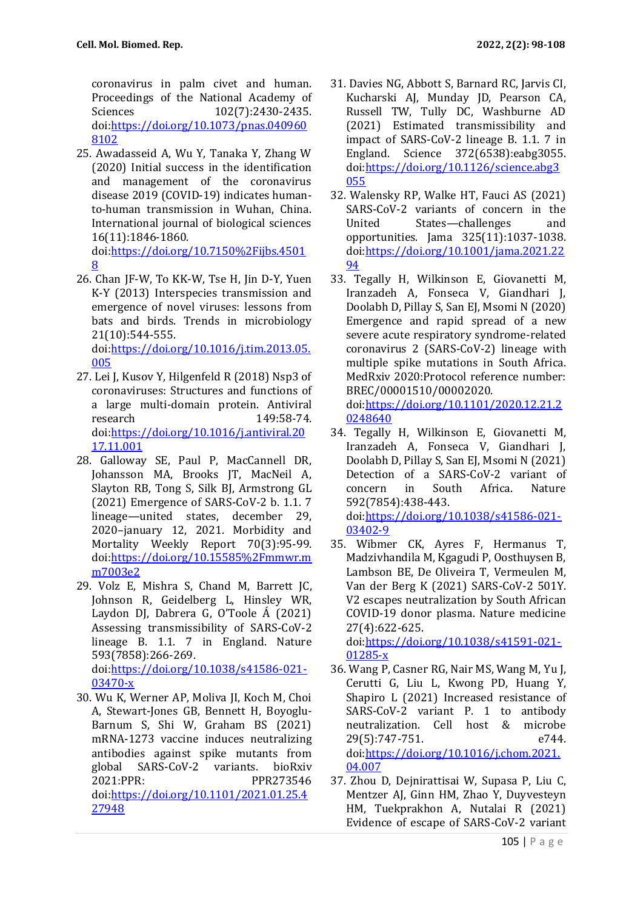coronavirus in palm civet and human. Proceedings of the National Academy of Sciences 102(7):2430-2435. doi[:https://doi.org/10.1073/pnas.040960](https://doi.org/10.1073/pnas.0409608102) [8102](https://doi.org/10.1073/pnas.0409608102)

25. Awadasseid A, Wu Y, Tanaka Y, Zhang W (2020) Initial success in the identification and management of the coronavirus disease 2019 (COVID-19) indicates humanto-human transmission in Wuhan, China. International journal of biological sciences 16(11):1846-1860.

doi[:https://doi.org/10.7150%2Fijbs.4501](https://doi.org/10.7150%2Fijbs.45018) [8](https://doi.org/10.7150%2Fijbs.45018)

- 26. Chan JF-W, To KK-W, Tse H, Jin D-Y, Yuen K-Y (2013) Interspecies transmission and emergence of novel viruses: lessons from bats and birds. Trends in microbiology 21(10):544-555. doi[:https://doi.org/10.1016/j.tim.2013.05.](https://doi.org/10.1016/j.tim.2013.05.005) [005](https://doi.org/10.1016/j.tim.2013.05.005)
- 27. Lei J, Kusov Y, Hilgenfeld R (2018) Nsp3 of coronaviruses: Structures and functions of a large multi-domain protein. Antiviral research 149:58-74. doi[:https://doi.org/10.1016/j.antiviral.20](https://doi.org/10.1016/j.antiviral.2017.11.001) [17.11.001](https://doi.org/10.1016/j.antiviral.2017.11.001)
- 28. Galloway SE, Paul P, MacCannell DR, Johansson MA, Brooks JT, MacNeil A, Slayton RB, Tong S, Silk BJ, Armstrong GL (2021) Emergence of SARS-CoV-2 b. 1.1. 7 lineage—united states, december 29, 2020–january 12, 2021. Morbidity and Mortality Weekly Report 70(3):95-99. doi[:https://doi.org/10.15585%2Fmmwr.m](https://doi.org/10.15585%2Fmmwr.mm7003e2) [m7003e2](https://doi.org/10.15585%2Fmmwr.mm7003e2)
- 29. Volz E, Mishra S, Chand M, Barrett JC, Johnson R, Geidelberg L, Hinsley WR, Laydon DJ, Dabrera G, O'Toole Á (2021) Assessing transmissibility of SARS-CoV-2 lineage B. 1.1. 7 in England. Nature 593(7858):266-269. doi[:https://doi.org/10.1038/s41586-021-](https://doi.org/10.1038/s41586-021-03470-x) [03470-x](https://doi.org/10.1038/s41586-021-03470-x)
- 30. Wu K, Werner AP, Moliva JI, Koch M, Choi A, Stewart-Jones GB, Bennett H, Boyoglu-Barnum S, Shi W, Graham BS (2021) mRNA-1273 vaccine induces neutralizing antibodies against spike mutants from global SARS-CoV-2 variants. bioRxiv 2021:PPR: PPR273546 doi[:https://doi.org/10.1101/2021.01.25.4](https://doi.org/10.1101/2021.01.25.427948) [27948](https://doi.org/10.1101/2021.01.25.427948)
- 31. Davies NG, Abbott S, Barnard RC, Jarvis CI, Kucharski AJ, Munday JD, Pearson CA, Russell TW, Tully DC, Washburne AD (2021) Estimated transmissibility and impact of SARS-CoV-2 lineage B. 1.1. 7 in England. Science 372(6538):eabg3055. doi[:https://doi.org/10.1126/science.abg3](https://doi.org/10.1126/science.abg3055) [055](https://doi.org/10.1126/science.abg3055)
- 32. Walensky RP, Walke HT, Fauci AS (2021) SARS-CoV-2 variants of concern in the United States—challenges and opportunities. Jama 325(11):1037-1038. doi[:https://doi.org/10.1001/jama.2021.22](https://doi.org/10.1001/jama.2021.2294) [94](https://doi.org/10.1001/jama.2021.2294)
- 33. Tegally H, Wilkinson E, Giovanetti M, Iranzadeh A, Fonseca V, Giandhari J, Doolabh D, Pillay S, San EJ, Msomi N (2020) Emergence and rapid spread of a new severe acute respiratory syndrome-related coronavirus 2 (SARS-CoV-2) lineage with multiple spike mutations in South Africa. MedRxiv 2020:Protocol reference number: BREC/00001510/00002020.

doi[:https://doi.org/10.1101/2020.12.21.2](https://doi.org/10.1101/2020.12.21.20248640) [0248640](https://doi.org/10.1101/2020.12.21.20248640)

- 34. Tegally H, Wilkinson E, Giovanetti M, Iranzadeh A, Fonseca V, Giandhari J, Doolabh D, Pillay S, San EJ, Msomi N (2021) Detection of a SARS-CoV-2 variant of concern in South Africa. Nature 592(7854):438-443. doi[:https://doi.org/10.1038/s41586-021-](https://doi.org/10.1038/s41586-021-03402-9) [03402-9](https://doi.org/10.1038/s41586-021-03402-9)
- 35. Wibmer CK, Ayres F, Hermanus T, Madzivhandila M, Kgagudi P, Oosthuysen B, Lambson BE, De Oliveira T, Vermeulen M, Van der Berg K (2021) SARS-CoV-2 501Y. V2 escapes neutralization by South African COVID-19 donor plasma. Nature medicine 27(4):622-625.

doi[:https://doi.org/10.1038/s41591-021-](https://doi.org/10.1038/s41591-021-01285-x) [01285-x](https://doi.org/10.1038/s41591-021-01285-x)

- 36. Wang P, Casner RG, Nair MS, Wang M, Yu J, Cerutti G, Liu L, Kwong PD, Huang Y, Shapiro L (2021) Increased resistance of SARS-CoV-2 variant P. 1 to antibody neutralization. Cell host & microbe 29(5):747-751. e744. doi[:https://doi.org/10.1016/j.chom.2021.](https://doi.org/10.1016/j.chom.2021.04.007) [04.007](https://doi.org/10.1016/j.chom.2021.04.007)
- 37. Zhou D, Dejnirattisai W, Supasa P, Liu C, Mentzer AJ, Ginn HM, Zhao Y, Duyvesteyn HM, Tuekprakhon A, Nutalai R (2021) Evidence of escape of SARS-CoV-2 variant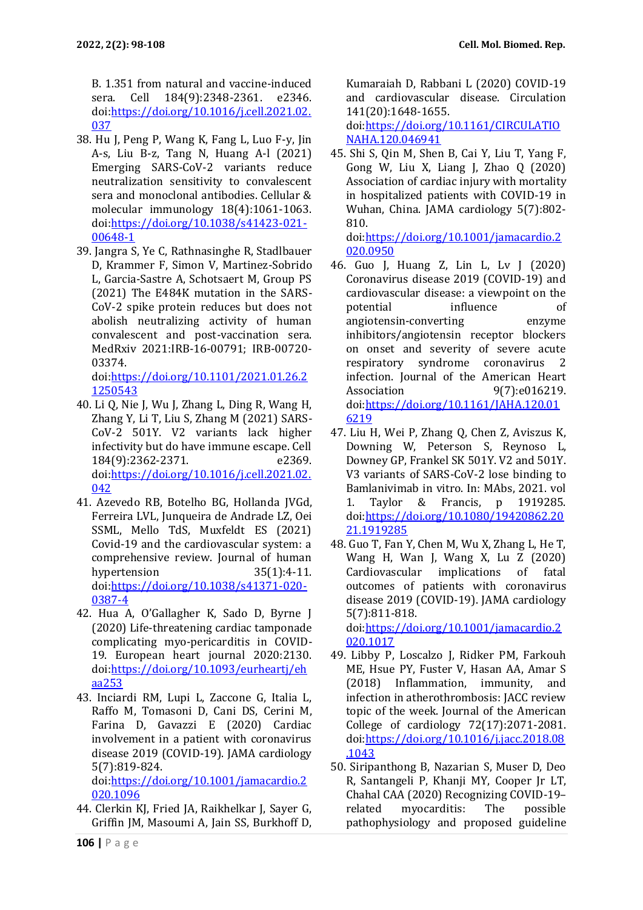B. 1.351 from natural and vaccine-induced sera. Cell 184(9):2348-2361. e2346. doi[:https://doi.org/10.1016/j.cell.2021.02.](https://doi.org/10.1016/j.cell.2021.02.037) [037](https://doi.org/10.1016/j.cell.2021.02.037)

- 38. Hu J, Peng P, Wang K, Fang L, Luo F-y, Jin A-s, Liu B-z, Tang N, Huang A-l (2021) Emerging SARS-CoV-2 variants reduce neutralization sensitivity to convalescent sera and monoclonal antibodies. Cellular & molecular immunology 18(4):1061-1063. doi[:https://doi.org/10.1038/s41423-021-](https://doi.org/10.1038/s41423-021-00648-1) [00648-1](https://doi.org/10.1038/s41423-021-00648-1)
- 39. Jangra S, Ye C, Rathnasinghe R, Stadlbauer D, Krammer F, Simon V, Martinez-Sobrido L, Garcia-Sastre A, Schotsaert M, Group PS (2021) The E484K mutation in the SARS-CoV-2 spike protein reduces but does not abolish neutralizing activity of human convalescent and post-vaccination sera. MedRxiv 2021:IRB-16-00791; IRB-00720- 03374.

doi[:https://doi.org/10.1101/2021.01.26.2](https://doi.org/10.1101/2021.01.26.21250543) [1250543](https://doi.org/10.1101/2021.01.26.21250543)

- 40. Li Q, Nie J, Wu J, Zhang L, Ding R, Wang H, Zhang Y, Li T, Liu S, Zhang M (2021) SARS-CoV-2 501Y. V2 variants lack higher infectivity but do have immune escape. Cell 184(9):2362-2371. e2369. doi[:https://doi.org/10.1016/j.cell.2021.02.](https://doi.org/10.1016/j.cell.2021.02.042) [042](https://doi.org/10.1016/j.cell.2021.02.042)
- 41. Azevedo RB, Botelho BG, Hollanda JVGd, Ferreira LVL, Junqueira de Andrade LZ, Oei SSML, Mello TdS, Muxfeldt ES (2021) Covid-19 and the cardiovascular system: a comprehensive review. Journal of human hypertension 35(1):4-11. doi[:https://doi.org/10.1038/s41371-020-](https://doi.org/10.1038/s41371-020-0387-4) [0387-4](https://doi.org/10.1038/s41371-020-0387-4)
- 42. Hua A, O'Gallagher K, Sado D, Byrne J (2020) Life-threatening cardiac tamponade complicating myo-pericarditis in COVID-19. European heart journal 2020:2130. doi[:https://doi.org/10.1093/eurheartj/eh](https://doi.org/10.1093/eurheartj/ehaa253) [aa253](https://doi.org/10.1093/eurheartj/ehaa253)
- 43. Inciardi RM, Lupi L, Zaccone G, Italia L, Raffo M, Tomasoni D, Cani DS, Cerini M, Farina D, Gavazzi E (2020) Cardiac involvement in a patient with coronavirus disease 2019 (COVID-19). JAMA cardiology 5(7):819-824.

doi[:https://doi.org/10.1001/jamacardio.2](https://doi.org/10.1001/jamacardio.2020.1096) [020.1096](https://doi.org/10.1001/jamacardio.2020.1096)

44. Clerkin KJ, Fried JA, Raikhelkar J, Sayer G, Griffin JM, Masoumi A, Jain SS, Burkhoff D, Kumaraiah D, Rabbani L (2020) COVID-19 and cardiovascular disease. Circulation 141(20):1648-1655.

doi[:https://doi.org/10.1161/CIRCULATIO](https://doi.org/10.1161/CIRCULATIONAHA.120.046941) [NAHA.120.046941](https://doi.org/10.1161/CIRCULATIONAHA.120.046941)

45. Shi S, Qin M, Shen B, Cai Y, Liu T, Yang F, Gong W, Liu X, Liang J, Zhao  $Q(2020)$ Association of cardiac injury with mortality in hospitalized patients with COVID-19 in Wuhan, China. JAMA cardiology 5(7):802- 810.

doi[:https://doi.org/10.1001/jamacardio.2](https://doi.org/10.1001/jamacardio.2020.0950) [020.0950](https://doi.org/10.1001/jamacardio.2020.0950)

- 46. Guo J, Huang Z, Lin L, Lv J (2020) Coronavirus disease 2019 (COVID‐19) and cardiovascular disease: a viewpoint on the potential influence of angiotensin‐converting enzyme inhibitors/angiotensin receptor blockers on onset and severity of severe acute respiratory syndrome coronavirus 2 infection. Journal of the American Heart Association 9(7):e016219. doi[:https://doi.org/10.1161/JAHA.120.01](https://doi.org/10.1161/JAHA.120.016219) [6219](https://doi.org/10.1161/JAHA.120.016219)
- 47. Liu H, Wei P, Zhang Q, Chen Z, Aviszus K, Downing W, Peterson S, Reynoso L, Downey GP, Frankel SK 501Y. V2 and 501Y. V3 variants of SARS-CoV-2 lose binding to Bamlanivimab in vitro. In: MAbs, 2021. vol 1. Taylor & Francis, p 1919285. doi[:https://doi.org/10.1080/19420862.20](https://doi.org/10.1080/19420862.2021.1919285) [21.1919285](https://doi.org/10.1080/19420862.2021.1919285)
- 48. Guo T, Fan Y, Chen M, Wu X, Zhang L, He T, Wang H, Wan J, Wang X, Lu Z (2020) Cardiovascular implications of fatal outcomes of patients with coronavirus disease 2019 (COVID-19). JAMA cardiology 5(7):811-818.

doi[:https://doi.org/10.1001/jamacardio.2](https://doi.org/10.1001/jamacardio.2020.1017) [020.1017](https://doi.org/10.1001/jamacardio.2020.1017)

- 49. Libby P, Loscalzo J, Ridker PM, Farkouh ME, Hsue PY, Fuster V, Hasan AA, Amar S (2018) Inflammation, immunity, and infection in atherothrombosis: JACC review topic of the week. Journal of the American College of cardiology 72(17):2071-2081. doi[:https://doi.org/10.1016/j.jacc.2018.08](https://doi.org/10.1016/j.jacc.2018.08.1043) [.1043](https://doi.org/10.1016/j.jacc.2018.08.1043)
- 50. Siripanthong B, Nazarian S, Muser D, Deo R, Santangeli P, Khanji MY, Cooper Jr LT, Chahal CAA (2020) Recognizing COVID-19– related myocarditis: The possible pathophysiology and proposed guideline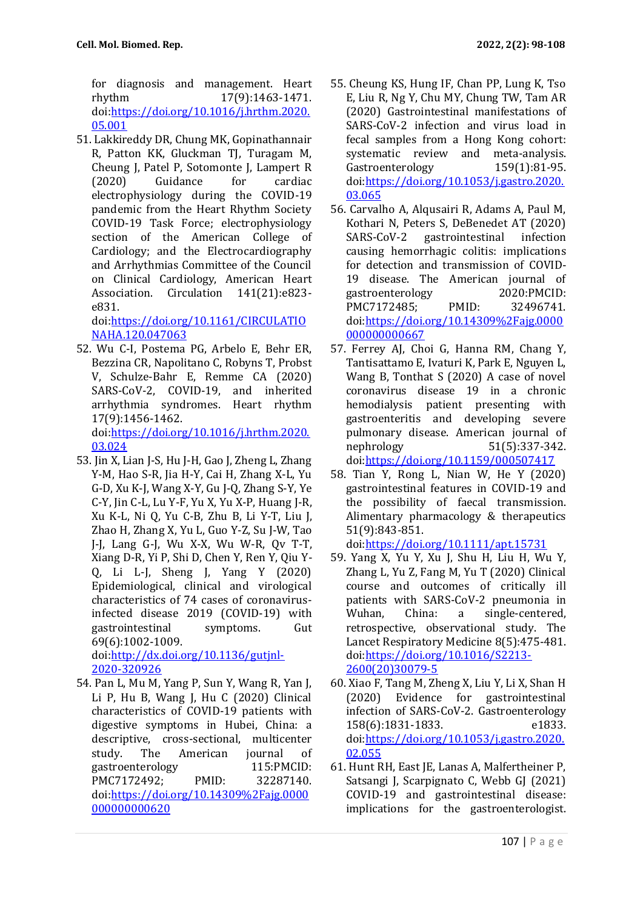for diagnosis and management. Heart rhythm 17(9):1463-1471. doi[:https://doi.org/10.1016/j.hrthm.2020.](https://doi.org/10.1016/j.hrthm.2020.05.001) [05.001](https://doi.org/10.1016/j.hrthm.2020.05.001)

51. Lakkireddy DR, Chung MK, Gopinathannair R, Patton KK, Gluckman TJ, Turagam M, Cheung J, Patel P, Sotomonte J, Lampert R (2020) Guidance for cardiac electrophysiology during the COVID-19 pandemic from the Heart Rhythm Society COVID-19 Task Force; electrophysiology section of the American College of Cardiology; and the Electrocardiography and Arrhythmias Committee of the Council on Clinical Cardiology, American Heart Association. Circulation 141(21):e823 e831.

doi[:https://doi.org/10.1161/CIRCULATIO](https://doi.org/10.1161/CIRCULATIONAHA.120.047063) [NAHA.120.047063](https://doi.org/10.1161/CIRCULATIONAHA.120.047063)

52. Wu C-I, Postema PG, Arbelo E, Behr ER, Bezzina CR, Napolitano C, Robyns T, Probst V, Schulze-Bahr E, Remme CA (2020) SARS-CoV-2, COVID-19, and inherited arrhythmia syndromes. Heart rhythm 17(9):1456-1462.

doi[:https://doi.org/10.1016/j.hrthm.2020.](https://doi.org/10.1016/j.hrthm.2020.03.024) [03.024](https://doi.org/10.1016/j.hrthm.2020.03.024)

- 53. Jin X, Lian J-S, Hu J-H, Gao J, Zheng L, Zhang Y-M, Hao S-R, Jia H-Y, Cai H, Zhang X-L, Yu G-D, Xu K-J, Wang X-Y, Gu J-Q, Zhang S-Y, Ye C-Y, Jin C-L, Lu Y-F, Yu X, Yu X-P, Huang J-R, Xu K-L, Ni Q, Yu C-B, Zhu B, Li Y-T, Liu J, Zhao H, Zhang X, Yu L, Guo Y-Z, Su J-W, Tao J-J, Lang G-J, Wu X-X, Wu W-R, Qv T-T, Xiang D-R, Yi P, Shi D, Chen Y, Ren Y, Qiu Y-Q, Li L-J, Sheng J, Yang Y (2020) Epidemiological, clinical and virological characteristics of 74 cases of coronavirusinfected disease 2019 (COVID-19) with gastrointestinal symptoms. Gut 69(6):1002-1009. doi[:http://dx.doi.org/10.1136/gutjnl-](http://dx.doi.org/10.1136/gutjnl-2020-320926)[2020-320926](http://dx.doi.org/10.1136/gutjnl-2020-320926)
- 54. Pan L, Mu M, Yang P, Sun Y, Wang R, Yan J, Li P, Hu B, Wang J, Hu C (2020) Clinical characteristics of COVID-19 patients with digestive symptoms in Hubei, China: a descriptive, cross-sectional, multicenter study. The American journal of gastroenterology 115:PMCID: PMC7172492; PMID: 32287140. doi[:https://doi.org/10.14309%2Fajg.0000](https://doi.org/10.14309%2Fajg.0000000000000620) [000000000620](https://doi.org/10.14309%2Fajg.0000000000000620)
- 55. Cheung KS, Hung IF, Chan PP, Lung K, Tso E, Liu R, Ng Y, Chu MY, Chung TW, Tam AR (2020) Gastrointestinal manifestations of SARS-CoV-2 infection and virus load in fecal samples from a Hong Kong cohort: systematic review and meta-analysis. Gastroenterology 159(1):81-95. doi[:https://doi.org/10.1053/j.gastro.2020.](https://doi.org/10.1053/j.gastro.2020.03.065) [03.065](https://doi.org/10.1053/j.gastro.2020.03.065)
- 56. Carvalho A, Alqusairi R, Adams A, Paul M, Kothari N, Peters S, DeBenedet AT (2020) SARS-CoV-2 gastrointestinal infection causing hemorrhagic colitis: implications for detection and transmission of COVID-19 disease. The American journal of gastroenterology 2020:PMCID: PMC7172485; PMID: 32496741. doi[:https://doi.org/10.14309%2Fajg.0000](https://doi.org/10.14309%2Fajg.0000000000000667) [000000000667](https://doi.org/10.14309%2Fajg.0000000000000667)
- 57. Ferrey AJ, Choi G, Hanna RM, Chang Y, Tantisattamo E, Ivaturi K, Park E, Nguyen L, Wang B, Tonthat S (2020) A case of novel coronavirus disease 19 in a chronic hemodialysis patient presenting with gastroenteritis and developing severe pulmonary disease. American journal of nephrology 51(5):337-342. doi[:https://doi.org/10.1159/000507417](https://doi.org/10.1159/000507417)
- 58. Tian Y, Rong L, Nian W, He Y (2020) gastrointestinal features in COVID‐19 and the possibility of faecal transmission. Alimentary pharmacology & therapeutics 51(9):843-851.

doi[:https://doi.org/10.1111/apt.15731](https://doi.org/10.1111/apt.15731)

- 59. Yang X, Yu Y, Xu J, Shu H, Liu H, Wu Y, Zhang L, Yu Z, Fang M, Yu T (2020) Clinical course and outcomes of critically ill patients with SARS-CoV-2 pneumonia in Wuhan, China: a single-centered, retrospective, observational study. The Lancet Respiratory Medicine 8(5):475-481. doi[:https://doi.org/10.1016/S2213-](https://doi.org/10.1016/S2213-2600(20)30079-5) [2600\(20\)30079-5](https://doi.org/10.1016/S2213-2600(20)30079-5)
- 60. Xiao F, Tang M, Zheng X, Liu Y, Li X, Shan H (2020) Evidence for gastrointestinal infection of SARS-CoV-2. Gastroenterology 158(6):1831-1833. e1833. doi[:https://doi.org/10.1053/j.gastro.2020.](https://doi.org/10.1053/j.gastro.2020.02.055) [02.055](https://doi.org/10.1053/j.gastro.2020.02.055)
- 61. Hunt RH, East JE, Lanas A, Malfertheiner P, Satsangi J, Scarpignato C, Webb GJ (2021) COVID-19 and gastrointestinal disease: implications for the gastroenterologist.